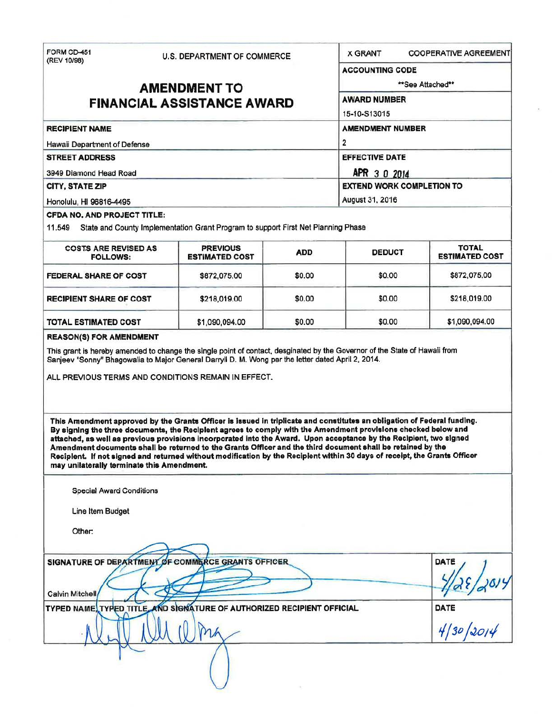| FORM CD-451<br>(REV 10/98)                                                                 | <b>U.S. DEPARTMENT OF COMMERCE</b>                                                                                                                                                                                                                                                                                                                                                                                                                                                                                                                                                                          |                         | <b>X GRANT</b>                        | <b>COOPERATIVE AGREEMENT</b> |                 |
|--------------------------------------------------------------------------------------------|-------------------------------------------------------------------------------------------------------------------------------------------------------------------------------------------------------------------------------------------------------------------------------------------------------------------------------------------------------------------------------------------------------------------------------------------------------------------------------------------------------------------------------------------------------------------------------------------------------------|-------------------------|---------------------------------------|------------------------------|-----------------|
|                                                                                            |                                                                                                                                                                                                                                                                                                                                                                                                                                                                                                                                                                                                             |                         |                                       | <b>ACCOUNTING CODE</b>       |                 |
| <b>AMENDMENT TO</b>                                                                        |                                                                                                                                                                                                                                                                                                                                                                                                                                                                                                                                                                                                             |                         | **See Attached**                      |                              |                 |
|                                                                                            | <b>FINANCIAL ASSISTANCE AWARD</b>                                                                                                                                                                                                                                                                                                                                                                                                                                                                                                                                                                           |                         | <b>AWARD NUMBER</b><br>15-10-S13015   |                              |                 |
|                                                                                            |                                                                                                                                                                                                                                                                                                                                                                                                                                                                                                                                                                                                             |                         |                                       |                              |                 |
| <b>RECIPIENT NAME</b>                                                                      |                                                                                                                                                                                                                                                                                                                                                                                                                                                                                                                                                                                                             |                         | <b>AMENDMENT NUMBER</b>               |                              |                 |
| Hawaii Department of Defense                                                               |                                                                                                                                                                                                                                                                                                                                                                                                                                                                                                                                                                                                             | $\overline{\mathbf{2}}$ |                                       |                              |                 |
| <b>STREET ADDRESS</b><br>3949 Diamond Head Road                                            |                                                                                                                                                                                                                                                                                                                                                                                                                                                                                                                                                                                                             |                         | <b>EFFECTIVE DATE</b><br>APR 3 0 2014 |                              |                 |
|                                                                                            |                                                                                                                                                                                                                                                                                                                                                                                                                                                                                                                                                                                                             |                         |                                       |                              | CITY, STATE ZIP |
| Honolulu, HI 96816-4495                                                                    |                                                                                                                                                                                                                                                                                                                                                                                                                                                                                                                                                                                                             |                         | August 31, 2016                       |                              |                 |
| <b>CFDA NO. AND PROJECT TITLE:</b>                                                         |                                                                                                                                                                                                                                                                                                                                                                                                                                                                                                                                                                                                             |                         |                                       |                              |                 |
| 11.549                                                                                     | State and County Implementation Grant Program to support First Net Planning Phase                                                                                                                                                                                                                                                                                                                                                                                                                                                                                                                           |                         |                                       |                              |                 |
| <b>COSTS ARE REVISED AS</b>                                                                | <b>PREVIOUS</b>                                                                                                                                                                                                                                                                                                                                                                                                                                                                                                                                                                                             | <b>ADD</b>              | <b>DEDUCT</b>                         | <b>TOTAL</b>                 |                 |
| <b>FOLLOWS:</b>                                                                            | <b>ESTIMATED COST</b>                                                                                                                                                                                                                                                                                                                                                                                                                                                                                                                                                                                       |                         |                                       | <b>ESTIMATED COST</b>        |                 |
| FEDERAL SHARE OF COST                                                                      | \$872,075.00                                                                                                                                                                                                                                                                                                                                                                                                                                                                                                                                                                                                | \$0.00                  | \$0.00                                | \$872,075.00                 |                 |
| <b>RECIPIENT SHARE OF COST</b>                                                             | \$218,019.00                                                                                                                                                                                                                                                                                                                                                                                                                                                                                                                                                                                                | \$0.00                  | \$0.00                                | \$218,019.00                 |                 |
| TOTAL ESTIMATED COST                                                                       | \$1,090,094.00                                                                                                                                                                                                                                                                                                                                                                                                                                                                                                                                                                                              | \$0.00                  | \$0.00                                | \$1,090,094.00               |                 |
|                                                                                            | This Amendment approved by the Grants Officer is issued in triplicate and constitutes an obligation of Federal funding.<br>By signing the three documents, the Reciplent agrees to comply with the Amendment provisions checked below and<br>attached, as well as previous provisions incorporated into the Award. Upon acceptance by the Recipient, two signed<br>Amendment documents shall be returned to the Grants Officer and the third document shall be retained by the<br>Reciplent. If not signed and returned without modification by the Reciplent within 30 days of receipt, the Grants Officer |                         |                                       |                              |                 |
| may unilaterally terminate this Amendment.<br>Special Award Conditions<br>Line Item Budget |                                                                                                                                                                                                                                                                                                                                                                                                                                                                                                                                                                                                             |                         |                                       |                              |                 |
| Other:                                                                                     |                                                                                                                                                                                                                                                                                                                                                                                                                                                                                                                                                                                                             |                         |                                       |                              |                 |
|                                                                                            |                                                                                                                                                                                                                                                                                                                                                                                                                                                                                                                                                                                                             |                         |                                       | DATE                         |                 |
| SIGNATURE OF DEPARTMENT OF COMMERCE GRANTS OFFICER<br>Calvin Mitchell/                     |                                                                                                                                                                                                                                                                                                                                                                                                                                                                                                                                                                                                             |                         |                                       |                              |                 |
| TYPED NAME, TYPED TITLE, AND SIGNATURE OF AUTHORIZED RECIPIENT OFFICIAL                    | DATE                                                                                                                                                                                                                                                                                                                                                                                                                                                                                                                                                                                                        |                         |                                       |                              |                 |
|                                                                                            |                                                                                                                                                                                                                                                                                                                                                                                                                                                                                                                                                                                                             |                         |                                       | date<br>4/30/2014            |                 |
|                                                                                            |                                                                                                                                                                                                                                                                                                                                                                                                                                                                                                                                                                                                             |                         |                                       |                              |                 |

ó,

 $\mathcal{R}_{\mathcal{A}}$